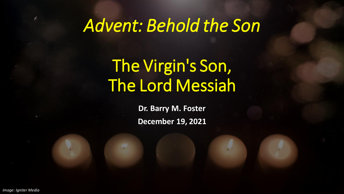# *Advent: Behold the Son*

# The Virgin's Son, The Lord Messiah

**Dr. Barry M. Foster December 19, 2021**

*Image: Igniter Media*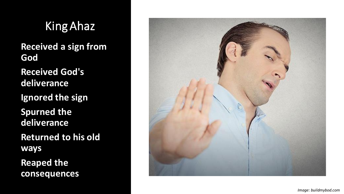King Ahaz **Received a sign from God Received God's deliverance Ignored the sign Spurned the deliverance Returned to his old ways Reaped the consequences**

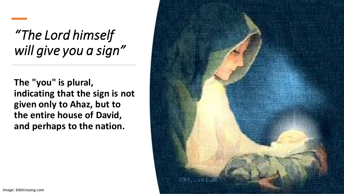#### *"The Lord himself will give you a sign"*

**The "you" is plural, indicating that the sign is not given only to Ahaz, but to the entire house of David, and perhaps to the nation.**

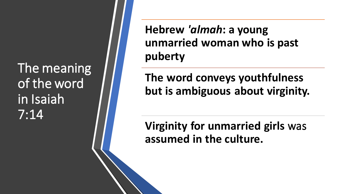The meaning of the word in Isaiah 7:14

**Hebrew** *'almah***: a young unmarried woman who is past puberty**

**The word conveys youthfulness but is ambiguous about virginity.**

**Virginity for unmarried girls** was **assumed in the culture.**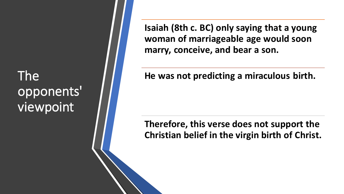#### The opponents' viewpoint

**Isaiah (8th c. BC) only saying that a young woman of marriageable age would soon marry, conceive, and bear a son.**

#### **He was not predicting a miraculous birth.**

#### **Therefore, this verse does not support the Christian belief in the virgin birth of Christ.**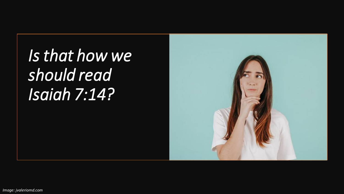*Is that how we should read Isaiah 7:14?*

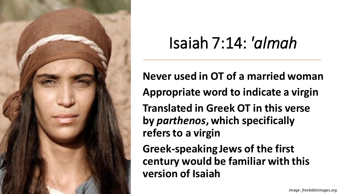

# Isaiah 7:14: *'almah*

**Never used in OT of a married woman Appropriate word to indicate a virgin Translated in Greek OT in this verse by** *parthenos***, which specifically refers to a virgin**

**Greek-speaking Jews of the first century would be familiar with this version of Isaiah**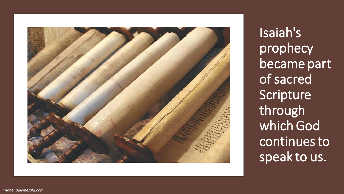

Isaiah's prophecy became part of sacred Scripture through which God continues to speak to us.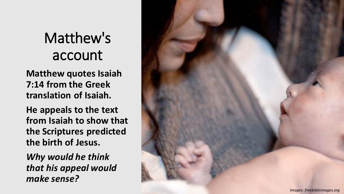## Matthew's account

**Matthew quotes Isaiah 7:14 from the Greek translation of Isaiah.**

**He appeals to the text from Isaiah to show that the Scriptures predicted the birth of Jesus.**

*Why would he think that his appeal would make sense?*

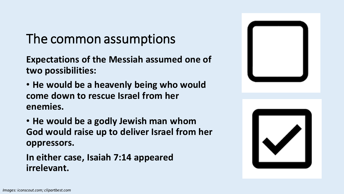#### The common assumptions

**Expectations of the Messiah assumed one of two possibilities:**

- **He would be a heavenly being who would come down to rescue Israel from her enemies.**
- **He would be a godly Jewish man whom God would raise up to deliver Israel from her oppressors.**

**In either case, Isaiah 7:14 appeared irrelevant.**



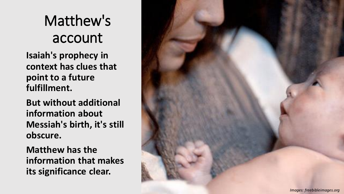# Matthew's account

**Isaiah's prophecy in context has clues that point to a future fulfillment.**

**But without additional information about Messiah's birth, it's still obscure.**

**Matthew has the information that makes its significance clear.**

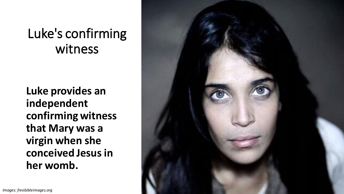#### Luke's confirming witness

**Luke provides an independent confirming witness that Mary was a virgin when she conceived Jesus in her womb.**

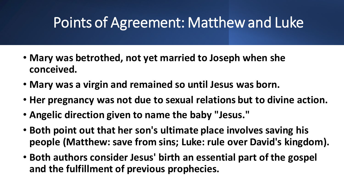#### Points of Agreement: Matthew and Luke

- **Mary was betrothed, not yet married to Joseph when she conceived.**
- **Mary was a virgin and remained so until Jesus was born.**
- **Her pregnancy was not due to sexual relations but to divine action.**
- **Angelic direction given to name the baby "Jesus."**
- **Both point out that her son's ultimate place involves saving his people (Matthew: save from sins; Luke: rule over David's kingdom).**
- **Both authors consider Jesus' birth an essential part of the gospel and the fulfillment of previous prophecies.**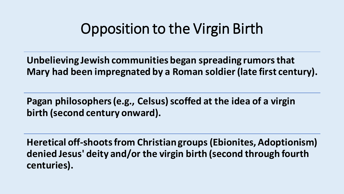#### Opposition to the Virgin Birth

**Unbelieving Jewish communities began spreading rumors that Mary had been impregnated by a Roman soldier (late first century).**

**Pagan philosophers (e.g., Celsus) scoffed at the idea of a virgin birth (second century onward).**

**Heretical off-shoots from Christian groups (Ebionites, Adoptionism) denied Jesus' deity and/or the virgin birth (second through fourth centuries).**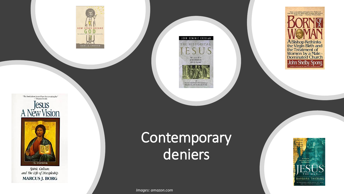

"The book about Jesus 1 have been waiting for"<br> $\label{eq:1} \begin{array}{lll} \text{--} \end{array}$ 



Spirit, Culture, and The Life of Discipleship **MARCUS J. BORG** 

#### JOHN DOMINIC CROSSAN

THE HISTORICAL





## **Contemporary** deniers

*Images: amazon.com*

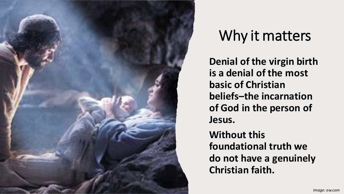

## Why it matters

**Denial of the virgin birth is a denial of the most basic of Christian beliefs–the incarnation of God in the person of Jesus. Without this foundational truth we do not have a genuinely Christian faith.**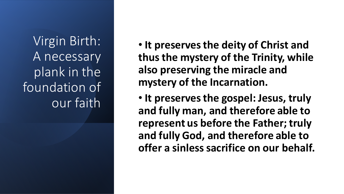Virgin Birth: A necessary plank in the foundation of our faith

• **It preserves the deity of Christ and thus the mystery of the Trinity, while also preserving the miracle and mystery of the Incarnation.**

• **It preserves the gospel: Jesus, truly and fully man, and therefore able to represent us before the Father; truly and fully God, and therefore able to offer a sinless sacrifice on our behalf.**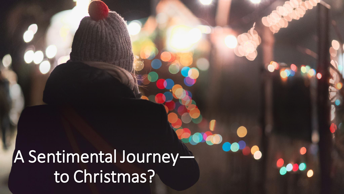# A Sentimental Journey to Christmas?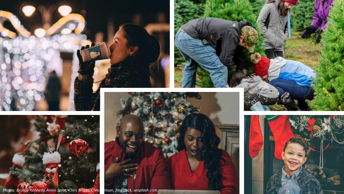